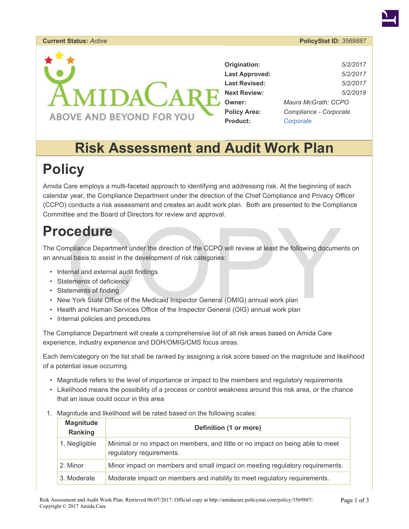### **Current Status:** *Active* **PolicyStat ID:** *3569887*



| Origination:          | 5/2/2017               |  |
|-----------------------|------------------------|--|
| <b>Last Approved:</b> | 5/2/2017               |  |
| <b>Last Revised:</b>  | 5/2/2017               |  |
| <b>Next Review:</b>   | 5/2/2018               |  |
| <b>Owner:</b>         | Maura McGrath: CCPO    |  |
| <b>Policy Area:</b>   | Compliance - Corporate |  |
| <b>Product:</b>       | Corporate              |  |

# **Risk Assessment and Audit Work Plan**

# **Policy**

Amida Care employs a multi-faceted approach to identifying and addressing risk. At the beginning of each calendar year, the Compliance Department under the direction of the Chief Compliance and Privacy Officer (CCPO) conducts a risk assessment and creates an audit work plan. Both are presented to the Compliance Committee and the Board of Directors for review and approval.

# **Procedure**

Cedure<br>
mpliance Department under the direction of the CCPO will review at least the following document<br>
ranal and external audit findings<br>
tements of deficiency<br>
w York State Office of the Medicaid Inspector General (OMIG The Compliance Department under the direction of the CCPO will review at least the following documents on an annual basis to assist in the development of risk categories:

- Internal and external audit findings
- Statements of deficiency
- Statements of finding
- New York State Office of the Medicaid Inspector General (OMIG) annual work plan
- Health and Human Services Office of the Inspector General (OIG) annual work plan
- Internal policies and procedures

The Compliance Department will create a comprehensive list of all risk areas based on Amida Care experience, industry experience and DOH/OMIG/CMS focus areas.

Each item/category on the list shall be ranked by assigning a risk score based on the magnitude and likelihood of a potential issue occurring.

- Magnitude refers to the level of importance or impact to the members and regulatory requirements
- Likelihood means the possibility of a process or control weakness around this risk area, or the chance that an issue could occur in this area
- 1. Magnitude and likelihood will be rated based on the following scales:

| <b>Magnitude</b><br>Ranking | Definition (1 or more)                                                                                     |
|-----------------------------|------------------------------------------------------------------------------------------------------------|
| 1. Negligible               | Minimal or no impact on members, and little or no impact on being able to meet<br>regulatory requirements. |
| 2. Minor                    | Minor impact on members and small impact on meeting regulatory requirements.                               |
| 3. Moderate                 | Moderate impact on members and inability to meet regulatory requirements.                                  |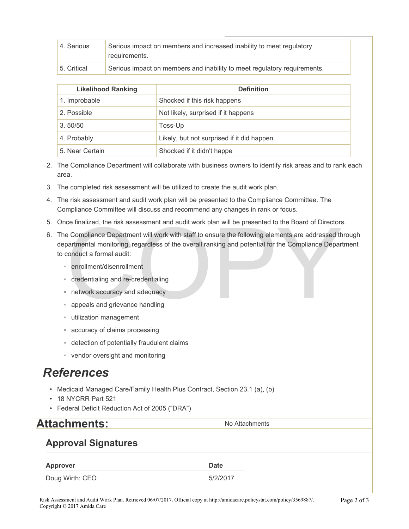| 4. Serious  | Serious impact on members and increased inability to meet regulatory<br>requirements. |
|-------------|---------------------------------------------------------------------------------------|
| 5. Critical | Serious impact on members and inability to meet regulatory requirements.              |

| <b>Likelihood Ranking</b> | <b>Definition</b>                          |
|---------------------------|--------------------------------------------|
| 1. Improbable             | Shocked if this risk happens               |
| 2. Possible               | Not likely, surprised if it happens        |
| 3.50/50                   | Toss-Up                                    |
| 4. Probably               | Likely, but not surprised if it did happen |
| 5. Near Certain           | Shocked if it didn't happe                 |

- 2. The Compliance Department will collaborate with business owners to identify risk areas and to rank each area.
- 3. The completed risk assessment will be utilized to create the audit work plan.
- 4. The risk assessment and audit work plan will be presented to the Compliance Committee. The Compliance Committee will discuss and recommend any changes in rank or focus.
- 5. Once finalized, the risk assessment and audit work plan will be presented to the Board of Directors.
- ce finalized, the risk assessment and audit work plan will be presented to the Board of Directors<br>
e Compliance Department will work with staff to ensure the following elements are addressed the<br>
nartmental monitoring, reg 6. The Compliance Department will work with staff to ensure the following elements are addressed through departmental monitoring, regardless of the overall ranking and potential for the Compliance Department to conduct a formal audit:
	- enrollment/disenrollment
	- credentialing and re-credentialing
	- network accuracy and adequacy
	- appeals and grievance handling
	- utilization management
	- accuracy of claims processing
	- detection of potentially fraudulent claims
	- vendor oversight and monitoring

## *References*

- Medicaid Managed Care/Family Health Plus Contract, Section 23.1 (a), (b)
- 18 NYCRR Part 521
- Federal Deficit Reduction Act of 2005 ("DRA")

## **Attachments:** No Attachments

## **Approval Signatures**

### **Approver Date**

Doug Wirth: CEO 5/2/2017

#### Risk Assessment and Audit Work Plan. Retrieved 06/07/2017. Official copy at http://amidacare.policystat.com/policy/3569887/. Copyright © 2017 Amida Care